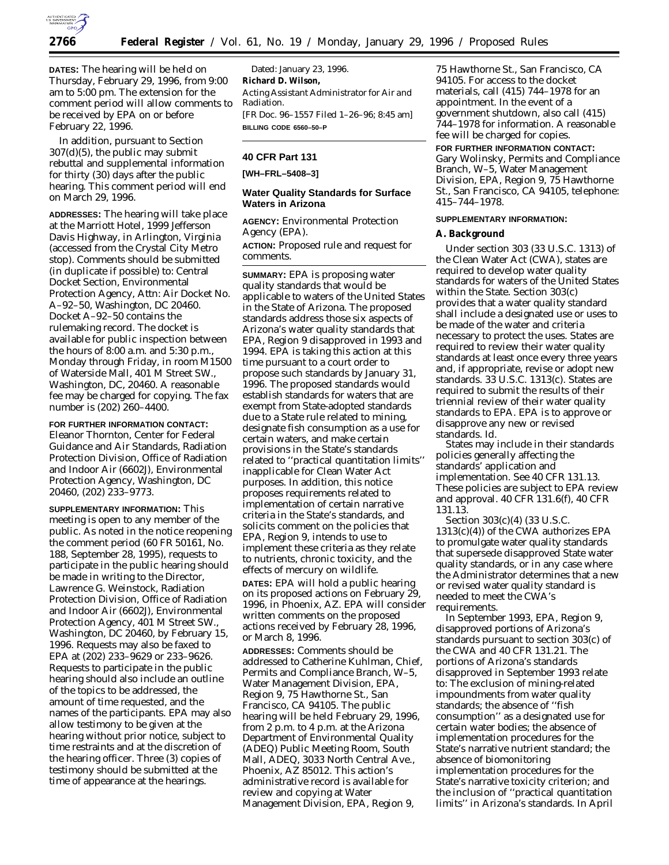

**DATES:** The hearing will be held on Thursday, February 29, 1996, from 9:00 am to 5:00 pm. The extension for the comment period will allow comments to be received by EPA on or before February 22, 1996.

In addition, pursuant to Section 307(d)(5), the public may submit rebuttal and supplemental information for thirty (30) days after the public hearing. This comment period will end on March 29, 1996.

**ADDRESSES:** The hearing will take place at the Marriott Hotel, 1999 Jefferson Davis Highway, in Arlington, Virginia (accessed from the Crystal City Metro stop). Comments should be submitted (in duplicate if possible) to: Central Docket Section, Environmental Protection Agency, Attn: Air Docket No. A–92–50, Washington, DC 20460. Docket A–92–50 contains the rulemaking record. The docket is available for public inspection between the hours of 8:00 a.m. and 5:30 p.m., Monday through Friday, in room M1500 of Waterside Mall, 401 M Street SW., Washington, DC, 20460. A reasonable fee may be charged for copying. The fax number is (202) 260–4400.

**FOR FURTHER INFORMATION CONTACT:** Eleanor Thornton, Center for Federal Guidance and Air Standards, Radiation Protection Division, Office of Radiation and Indoor Air (6602J), Environmental Protection Agency, Washington, DC 20460, (202) 233–9773.

**SUPPLEMENTARY INFORMATION:** This meeting is open to any member of the public. As noted in the notice reopening the comment period (60 FR 50161, No. 188, September 28, 1995), requests to participate in the public hearing should be made in writing to the Director, Lawrence G. Weinstock, Radiation Protection Division, Office of Radiation and Indoor Air (6602J), Environmental Protection Agency, 401 M Street SW., Washington, DC 20460, by February 15, 1996. Requests may also be faxed to EPA at (202) 233–9629 or 233–9626. Requests to participate in the public hearing should also include an outline of the topics to be addressed, the amount of time requested, and the names of the participants. EPA may also allow testimony to be given at the hearing without prior notice, subject to time restraints and at the discretion of the hearing officer. Three (3) copies of testimony should be submitted at the time of appearance at the hearings.

Dated: January 23, 1996. **Richard D. Wilson,** *Acting Assistant Administrator for Air and Radiation.* [FR Doc. 96–1557 Filed 1–26–96; 8:45 am] **BILLING CODE 6560–50–P**

### **40 CFR Part 131**

**[WH–FRL–5408–3]**

### **Water Quality Standards for Surface Waters in Arizona**

**AGENCY:** Environmental Protection Agency (EPA).

**ACTION:** Proposed rule and request for comments.

**SUMMARY:** EPA is proposing water quality standards that would be applicable to waters of the United States in the State of Arizona. The proposed standards address those six aspects of Arizona's water quality standards that EPA, Region 9 disapproved in 1993 and 1994. EPA is taking this action at this time pursuant to a court order to propose such standards by January 31, 1996. The proposed standards would establish standards for waters that are exempt from State-adopted standards due to a State rule related to mining, designate fish consumption as a use for certain waters, and make certain provisions in the State's standards related to ''practical quantitation limits'' inapplicable for Clean Water Act purposes. In addition, this notice proposes requirements related to implementation of certain narrative criteria in the State's standards, and solicits comment on the policies that EPA, Region 9, intends to use to implement these criteria as they relate to nutrients, chronic toxicity, and the effects of mercury on wildlife.

**DATES:** EPA will hold a public hearing on its proposed actions on February 29, 1996, in Phoenix, AZ. EPA will consider written comments on the proposed actions received by February 28, 1996, or March 8, 1996.

**ADDRESSES:** Comments should be addressed to Catherine Kuhlman, Chief, Permits and Compliance Branch, W–5, Water Management Division, EPA, Region 9, 75 Hawthorne St., San Francisco, CA 94105. The public hearing will be held February 29, 1996, from 2 p.m. to 4 p.m. at the Arizona Department of Environmental Quality (ADEQ) Public Meeting Room, South Mall, ADEQ, 3033 North Central Ave., Phoenix, AZ 85012. This action's administrative record is available for review and copying at Water Management Division, EPA, Region 9,

75 Hawthorne St., San Francisco, CA 94105. For access to the docket materials, call (415) 744–1978 for an appointment. In the event of a government shutdown, also call (415) 744–1978 for information. A reasonable fee will be charged for copies.

**FOR FURTHER INFORMATION CONTACT:** Gary Wolinsky, Permits and Compliance Branch, W–5, Water Management Division, EPA, Region 9, 75 Hawthorne St., San Francisco, CA 94105, telephone: 415–744–1978.

#### **SUPPLEMENTARY INFORMATION:**

#### **A. Background**

Under section 303 (33 U.S.C. 1313) of the Clean Water Act (CWA), states are required to develop water quality standards for waters of the United States within the State. Section 303(c) provides that a water quality standard shall include a designated use or uses to be made of the water and criteria necessary to protect the uses. States are required to review their water quality standards at least once every three years and, if appropriate, revise or adopt new standards. 33 U.S.C. 1313(c). States are required to submit the results of their triennial review of their water quality standards to EPA. EPA is to approve or disapprove any new or revised standards. Id.

States may include in their standards policies generally affecting the standards' application and implementation. See 40 CFR 131.13. These policies are subject to EPA review and approval. 40 CFR 131.6(f), 40 CFR 131.13.

Section 303(c)(4) (33 U.S.C. 1313(c)(4)) of the CWA authorizes EPA to promulgate water quality standards that supersede disapproved State water quality standards, or in any case where the Administrator determines that a new or revised water quality standard is needed to meet the CWA's requirements.

In September 1993, EPA, Region 9, disapproved portions of Arizona's standards pursuant to section 303(c) of the CWA and 40 CFR 131.21. The portions of Arizona's standards disapproved in September 1993 relate to: The exclusion of mining-related impoundments from water quality standards; the absence of ''fish consumption'' as a designated use for certain water bodies; the absence of implementation procedures for the State's narrative nutrient standard; the absence of biomonitoring implementation procedures for the State's narrative toxicity criterion; and the inclusion of ''practical quantitation limits'' in Arizona's standards. In April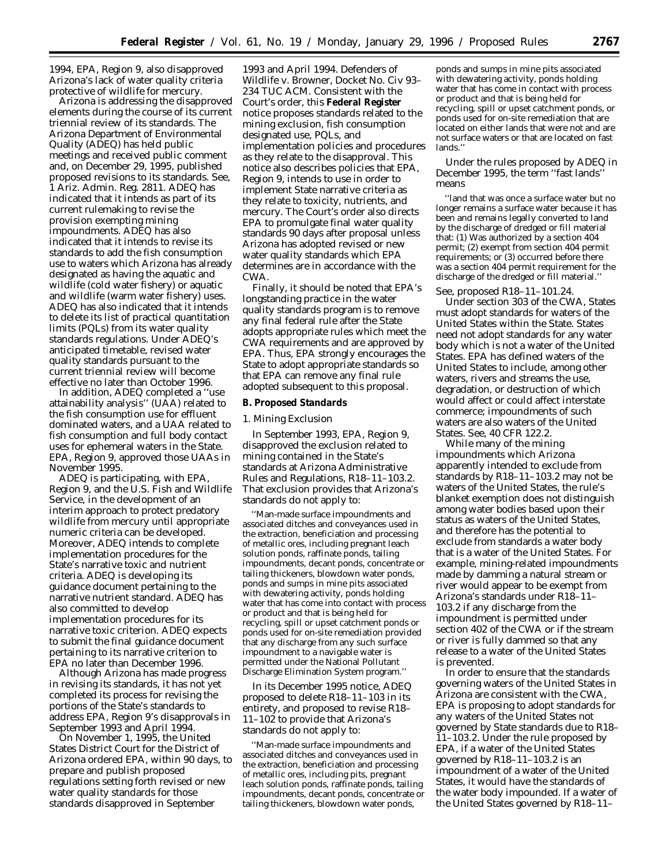1994, EPA, Region 9, also disapproved Arizona's lack of water quality criteria protective of wildlife for mercury.

Arizona is addressing the disapproved elements during the course of its current triennial review of its standards. The Arizona Department of Environmental Quality (ADEQ) has held public meetings and received public comment and, on December 29, 1995, published proposed revisions to its standards. See, 1 Ariz. Admin. Reg. 2811. ADEQ has indicated that it intends as part of its current rulemaking to revise the provision exempting mining impoundments. ADEQ has also indicated that it intends to revise its standards to add the fish consumption use to waters which Arizona has already designated as having the aquatic and wildlife (cold water fishery) or aquatic and wildlife (warm water fishery) uses. ADEQ has also indicated that it intends to delete its list of practical quantitation limits (PQLs) from its water quality standards regulations. Under ADEQ's anticipated timetable, revised water quality standards pursuant to the current triennial review will become effective no later than October 1996.

In addition, ADEQ completed a ''use attainability analysis'' (UAA) related to the fish consumption use for effluent dominated waters, and a UAA related to fish consumption and full body contact uses for ephemeral waters in the State. EPA, Region 9, approved those UAAs in November 1995.

ADEQ is participating, with EPA, Region 9, and the U.S. Fish and Wildlife Service, in the development of an interim approach to protect predatory wildlife from mercury until appropriate numeric criteria can be developed. Moreover, ADEQ intends to complete implementation procedures for the State's narrative toxic and nutrient criteria. ADEQ is developing its guidance document pertaining to the narrative nutrient standard. ADEQ has also committed to develop implementation procedures for its narrative toxic criterion. ADEQ expects to submit the final guidance document pertaining to its narrative criterion to EPA no later than December 1996.

Although Arizona has made progress in revising its standards, it has not yet completed its process for revising the portions of the State's standards to address EPA, Region 9's disapprovals in September 1993 and April 1994.

On November 1, 1995, the United States District Court for the District of Arizona ordered EPA, within 90 days, to prepare and publish proposed regulations setting forth revised or new water quality standards for those standards disapproved in September

1993 and April 1994. *Defenders of Wildlife* v. *Browner,* Docket No. Civ 93– 234 TUC ACM. Consistent with the Court's order, this **Federal Register** notice proposes standards related to the mining exclusion, fish consumption designated use, PQLs, and implementation policies and procedures as they relate to the disapproval. This notice also describes policies that EPA, Region 9, intends to use in order to implement State narrative criteria as they relate to toxicity, nutrients, and mercury. The Court's order also directs EPA to promulgate final water quality standards 90 days after proposal unless Arizona has adopted revised or new water quality standards which EPA determines are in accordance with the CWA.

Finally, it should be noted that EPA's longstanding practice in the water quality standards program is to remove any final federal rule after the State adopts appropriate rules which meet the CWA requirements and are approved by EPA. Thus, EPA strongly encourages the State to adopt appropriate standards so that EPA can remove any final rule adopted subsequent to this proposal.

#### **B. Proposed Standards**

#### *1. Mining Exclusion*

In September 1993, EPA, Region 9, disapproved the exclusion related to mining contained in the State's standards at Arizona Administrative Rules and Regulations, R18–11–103.2. That exclusion provides that Arizona's standards do not apply to:

''Man-made surface impoundments and associated ditches and conveyances used in the extraction, beneficiation and processing of metallic ores, including pregnant leach solution ponds, raffinate ponds, tailing impoundments, decant ponds, concentrate or tailing thickeners, blowdown water ponds, ponds and sumps in mine pits associated with dewatering activity, ponds holding water that has come into contact with process or product and that is being held for recycling, spill or upset catchment ponds or ponds used for on-site remediation provided that any discharge from any such surface impoundment to a navigable water is permitted under the National Pollutant Discharge Elimination System program.''

In its December 1995 notice, ADEQ proposed to delete R18–11–103 in its entirety, and proposed to revise R18– 11–102 to provide that Arizona's standards do not apply to:

''Man-made surface impoundments and associated ditches and conveyances used in the extraction, beneficiation and processing of metallic ores, including pits, pregnant leach solution ponds, raffinate ponds, tailing impoundments, decant ponds, concentrate or tailing thickeners, blowdown water ponds,

ponds and sumps in mine pits associated with dewatering activity, ponds holding water that has come in contact with process or product and that is being held for recycling, spill or upset catchment ponds, or ponds used for on-site remediation that are located on either lands that were not and are not surface waters or that are located on fast lands.''

Under the rules proposed by ADEQ in December 1995, the term ''fast lands'' means

''land that was once a surface water but no longer remains a surface water because it has been and remains legally converted to land by the discharge of dredged or fill material that: (1) Was authorized by a section 404 permit; (2) exempt from section 404 permit requirements; or (3) occurred before there was a section 404 permit requirement for the discharge of the dredged or fill material.''

See, proposed R18–11–101.24. Under section 303 of the CWA, States must adopt standards for waters of the United States within the State. States need not adopt standards for any water body which is not a water of the United States. EPA has defined waters of the United States to include, among other waters, rivers and streams the use, degradation, or destruction of which would affect or could affect interstate commerce; impoundments of such waters are also waters of the United States. See, 40 CFR 122.2.

While many of the mining impoundments which Arizona apparently intended to exclude from standards by R18–11–103.2 may not be waters of the United States, the rule's blanket exemption does not distinguish among water bodies based upon their status as waters of the United States, and therefore has the potential to exclude from standards a water body that is a water of the United States. For example, mining-related impoundments made by damming a natural stream or river would appear to be exempt from Arizona's standards under R18–11– 103.2 if any discharge from the impoundment is permitted under section 402 of the CWA or if the stream or river is fully dammed so that any release to a water of the United States is prevented.

In order to ensure that the standards governing waters of the United States in Arizona are consistent with the CWA, EPA is proposing to adopt standards for any waters of the United States not governed by State standards due to R18– 11–103.2. Under the rule proposed by EPA, if a water of the United States governed by R18–11–103.2 is an impoundment of a water of the United States, it would have the standards of the water body impounded. If a water of the United States governed by R18–11–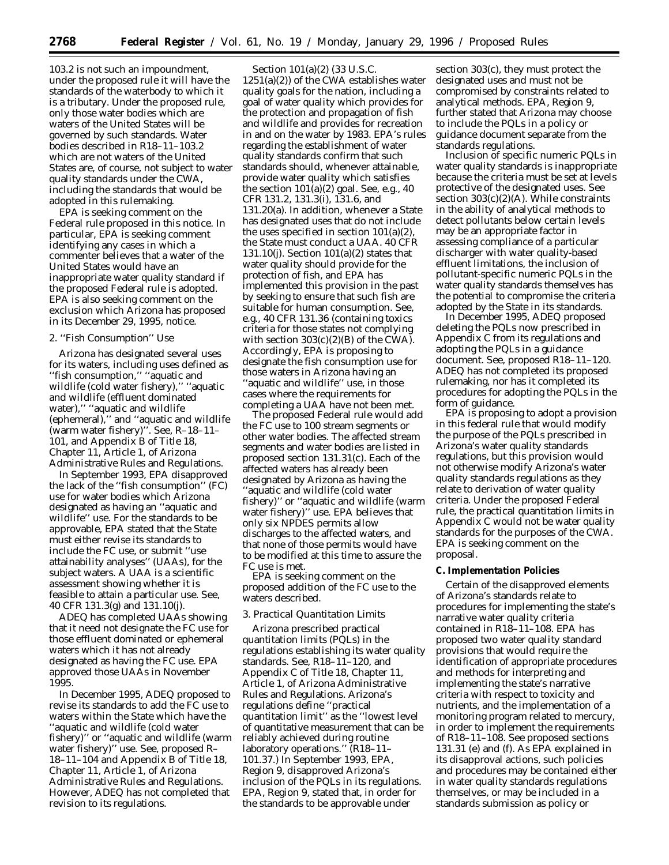103.2 is not such an impoundment, under the proposed rule it will have the standards of the waterbody to which it is a tributary. Under the proposed rule, only those water bodies which are waters of the United States will be governed by such standards. Water bodies described in R18–11–103.2 which are not waters of the United States are, of course, not subject to water quality standards under the CWA, including the standards that would be adopted in this rulemaking.

EPA is seeking comment on the Federal rule proposed in this notice. In particular, EPA is seeking comment identifying any cases in which a commenter believes that a water of the United States would have an inappropriate water quality standard if the proposed Federal rule is adopted. EPA is also seeking comment on the exclusion which Arizona has proposed in its December 29, 1995, notice.

#### *2. ''Fish Consumption'' Use*

Arizona has designated several uses for its waters, including uses defined as ''fish consumption,'' ''aquatic and wildlife (cold water fishery),'' ''aquatic and wildlife (effluent dominated water),'' ''aquatic and wildlife (ephemeral),'' and ''aquatic and wildlife (warm water fishery)''. See, R–18–11– 101, and Appendix B of Title 18, Chapter 11, Article 1, of Arizona Administrative Rules and Regulations.

In September 1993, EPA disapproved the lack of the ''fish consumption'' (FC) use for water bodies which Arizona designated as having an ''aquatic and wildlife'' use. For the standards to be approvable, EPA stated that the State must either revise its standards to include the FC use, or submit ''use attainability analyses'' (UAAs), for the subject waters. A UAA is a scientific assessment showing whether it is feasible to attain a particular use. See, 40 CFR 131.3(g) and 131.10(j).

ADEQ has completed UAAs showing that it need not designate the FC use for those effluent dominated or ephemeral waters which it has not already designated as having the FC use. EPA approved those UAAs in November 1995.

In December 1995, ADEQ proposed to revise its standards to add the FC use to waters within the State which have the ''aquatic and wildlife (cold water fishery)'' or ''aquatic and wildlife (warm water fishery)'' use. See, proposed R– 18–11–104 and Appendix B of Title 18, Chapter 11, Article 1, of Arizona Administrative Rules and Regulations. However, ADEQ has not completed that revision to its regulations.

Section 101(a)(2) (33 U.S.C.  $1251(a)(2)$ ) of the CWA establishes water quality goals for the nation, including a goal of water quality which provides for the protection and propagation of fish and wildlife and provides for recreation in and on the water by 1983. EPA's rules regarding the establishment of water quality standards confirm that such standards should, whenever attainable, provide water quality which satisfies the section  $101(a)(2)$  goal. See, e.g., 40 CFR 131.2, 131.3(i), 131.6, and 131.20(a). In addition, whenever a State has designated uses that do not include the uses specified in section  $101(a)(2)$ , the State must conduct a UAA. 40 CFR 131.10(j). Section 101(a)(2) states that water quality should provide for the protection of fish, and EPA has implemented this provision in the past by seeking to ensure that such fish are suitable for human consumption. See, e.g., 40 CFR 131.36 (containing toxics criteria for those states not complying with section  $303(c)(2)(B)$  of the CWA). Accordingly, EPA is proposing to designate the fish consumption use for those waters in Arizona having an ''aquatic and wildlife'' use, in those cases where the requirements for completing a UAA have not been met.

The proposed Federal rule would add the FC use to 100 stream segments or other water bodies. The affected stream segments and water bodies are listed in proposed section 131.31(c). Each of the affected waters has already been designated by Arizona as having the ''aquatic and wildlife (cold water fishery)'' or ''aquatic and wildlife (warm water fishery)'' use. EPA believes that only six NPDES permits allow discharges to the affected waters, and that none of those permits would have to be modified at this time to assure the FC use is met.

EPA is seeking comment on the proposed addition of the FC use to the waters described.

### *3. Practical Quantitation Limits*

Arizona prescribed practical quantitation limits (PQLs) in the regulations establishing its water quality standards. See, R18–11–120, and Appendix C of Title 18, Chapter 11, Article 1, of Arizona Administrative Rules and Regulations. Arizona's regulations define ''practical quantitation limit'' as the ''lowest level of quantitative measurement that can be reliably achieved during routine laboratory operations.'' (R18–11– 101.37.) In September 1993, EPA, Region 9, disapproved Arizona's inclusion of the PQLs in its regulations. EPA, Region 9, stated that, in order for the standards to be approvable under

section 303(c), they must protect the designated uses and must not be compromised by constraints related to analytical methods. EPA, Region 9, further stated that Arizona may choose to include the PQLs in a policy or guidance document separate from the standards regulations.

Inclusion of specific numeric PQLs in water quality standards is inappropriate because the criteria must be set at levels protective of the designated uses. See section 303(c)(2)(A). While constraints in the ability of analytical methods to detect pollutants below certain levels may be an appropriate factor in assessing compliance of a particular discharger with water quality-based effluent limitations, the inclusion of pollutant-specific numeric PQLs in the water quality standards themselves has the potential to compromise the criteria adopted by the State in its standards.

In December 1995, ADEQ proposed deleting the PQLs now prescribed in Appendix C from its regulations and adopting the PQLs in a guidance document. See, proposed R18–11–120. ADEQ has not completed its proposed rulemaking, nor has it completed its procedures for adopting the PQLs in the form of guidance.

EPA is proposing to adopt a provision in this federal rule that would modify the purpose of the PQLs prescribed in Arizona's water quality standards regulations, but this provision would not otherwise modify Arizona's water quality standards regulations as they relate to derivation of water quality criteria. Under the proposed Federal rule, the practical quantitation limits in Appendix C would not be water quality standards for the purposes of the CWA. EPA is seeking comment on the proposal.

#### **C. Implementation Policies**

Certain of the disapproved elements of Arizona's standards relate to procedures for implementing the state's narrative water quality criteria contained in R18–11–108. EPA has proposed two water quality standard provisions that would require the identification of appropriate procedures and methods for interpreting and implementing the state's narrative criteria with respect to toxicity and nutrients, and the implementation of a monitoring program related to mercury, in order to implement the requirements of R18–11–108. See proposed sections 131.31 (e) and (f). As EPA explained in its disapproval actions, such policies and procedures may be contained either in water quality standards regulations themselves, or may be included in a standards submission as policy or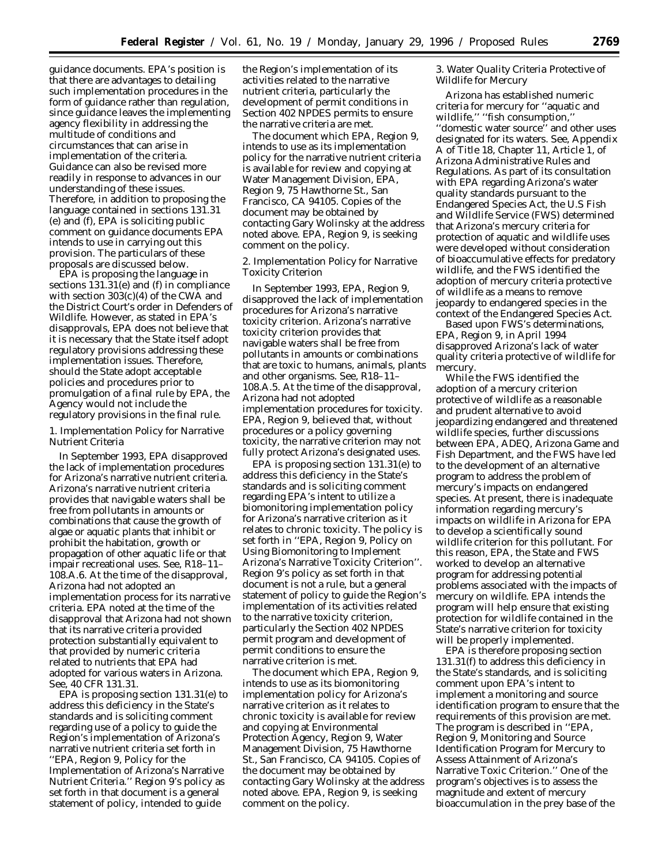guidance documents. EPA's position is that there are advantages to detailing such implementation procedures in the form of guidance rather than regulation, since guidance leaves the implementing agency flexibility in addressing the multitude of conditions and circumstances that can arise in implementation of the criteria. Guidance can also be revised more readily in response to advances in our understanding of these issues. Therefore, in addition to proposing the language contained in sections 131.31 (e) and (f), EPA is soliciting public comment on guidance documents EPA intends to use in carrying out this provision. The particulars of these proposals are discussed below.

EPA is proposing the language in sections 131.31(e) and (f) in compliance with section 303(c)(4) of the CWA and the District Court's order in *Defenders of Wildlife.* However, as stated in EPA's disapprovals, EPA does not believe that it is necessary that the State itself adopt regulatory provisions addressing these implementation issues. Therefore, should the State adopt acceptable policies and procedures prior to promulgation of a final rule by EPA, the Agency would not include the regulatory provisions in the final rule.

## *1. Implementation Policy for Narrative Nutrient Criteria*

In September 1993, EPA disapproved the lack of implementation procedures for Arizona's narrative nutrient criteria. Arizona's narrative nutrient criteria provides that navigable waters shall be free from pollutants in amounts or combinations that cause the growth of algae or aquatic plants that inhibit or prohibit the habitation, growth or propagation of other aquatic life or that impair recreational uses. See, R18–11– 108.A.6. At the time of the disapproval, Arizona had not adopted an implementation process for its narrative criteria. EPA noted at the time of the disapproval that Arizona had not shown that its narrative criteria provided protection substantially equivalent to that provided by numeric criteria related to nutrients that EPA had adopted for various waters in Arizona. See, 40 CFR 131.31.

EPA is proposing section 131.31(e) to address this deficiency in the State's standards and is soliciting comment regarding use of a policy to guide the Region's implementation of Arizona's narrative nutrient criteria set forth in ''EPA, Region 9, Policy for the Implementation of Arizona's Narrative Nutrient Criteria.'' Region 9's policy as set forth in that document is a general statement of policy, intended to guide

the Region's implementation of its activities related to the narrative nutrient criteria, particularly the development of permit conditions in Section 402 NPDES permits to ensure the narrative criteria are met.

The document which EPA, Region 9, intends to use as its implementation policy for the narrative nutrient criteria is available for review and copying at Water Management Division, EPA, Region 9, 75 Hawthorne St., San Francisco, CA 94105. Copies of the document may be obtained by contacting Gary Wolinsky at the address noted above. EPA, Region 9, is seeking comment on the policy.

## *2. Implementation Policy for Narrative Toxicity Criterion*

In September 1993, EPA, Region 9, disapproved the lack of implementation procedures for Arizona's narrative toxicity criterion. Arizona's narrative toxicity criterion provides that navigable waters shall be free from pollutants in amounts or combinations that are toxic to humans, animals, plants and other organisms. See, R18–11– 108.A.5. At the time of the disapproval, Arizona had not adopted implementation procedures for toxicity. EPA, Region 9, believed that, without procedures or a policy governing toxicity, the narrative criterion may not fully protect Arizona's designated uses.

EPA is proposing section 131.31(e) to address this deficiency in the State's standards and is soliciting comment regarding EPA's intent to utilize a biomonitoring implementation policy for Arizona's narrative criterion as it relates to chronic toxicity. The policy is set forth in ''EPA, Region 9, Policy on Using Biomonitoring to Implement Arizona's Narrative Toxicity Criterion''. Region 9's policy as set forth in that document is not a rule, but a general statement of policy to guide the Region's implementation of its activities related to the narrative toxicity criterion, particularly the Section 402 NPDES permit program and development of permit conditions to ensure the narrative criterion is met.

The document which EPA, Region 9, intends to use as its biomonitoring implementation policy for Arizona's narrative criterion as it relates to chronic toxicity is available for review and copying at Environmental Protection Agency, Region 9, Water Management Division, 75 Hawthorne St., San Francisco, CA 94105. Copies of the document may be obtained by contacting Gary Wolinsky at the address noted above. EPA, Region 9, is seeking comment on the policy.

## *3. Water Quality Criteria Protective of Wildlife for Mercury*

Arizona has established numeric criteria for mercury for ''aquatic and wildlife,'' ''fish consumption,'' ''domestic water source'' and other uses designated for its waters. See, Appendix A of Title 18, Chapter 11, Article 1, of Arizona Administrative Rules and Regulations. As part of its consultation with EPA regarding Arizona's water quality standards pursuant to the Endangered Species Act, the U.S Fish and Wildlife Service (FWS) determined that Arizona's mercury criteria for protection of aquatic and wildlife uses were developed without consideration of bioaccumulative effects for predatory wildlife, and the FWS identified the adoption of mercury criteria protective of wildlife as a means to remove jeopardy to endangered species in the context of the Endangered Species Act.

Based upon FWS's determinations, EPA, Region 9, in April 1994 disapproved Arizona's lack of water quality criteria protective of wildlife for mercury.

While the FWS identified the adoption of a mercury criterion protective of wildlife as a reasonable and prudent alternative to avoid jeopardizing endangered and threatened wildlife species, further discussions between EPA, ADEQ, Arizona Game and Fish Department, and the FWS have led to the development of an alternative program to address the problem of mercury's impacts on endangered species. At present, there is inadequate information regarding mercury's impacts on wildlife in Arizona for EPA to develop a scientifically sound wildlife criterion for this pollutant. For this reason, EPA, the State and FWS worked to develop an alternative program for addressing potential problems associated with the impacts of mercury on wildlife. EPA intends the program will help ensure that existing protection for wildlife contained in the State's narrative criterion for toxicity will be properly implemented.

EPA is therefore proposing section 131.31(f) to address this deficiency in the State's standards, and is soliciting comment upon EPA's intent to implement a monitoring and source identification program to ensure that the requirements of this provision are met. The program is described in ''EPA, Region 9, Monitoring and Source Identification Program for Mercury to Assess Attainment of Arizona's Narrative Toxic Criterion.'' One of the program's objectives is to assess the magnitude and extent of mercury bioaccumulation in the prey base of the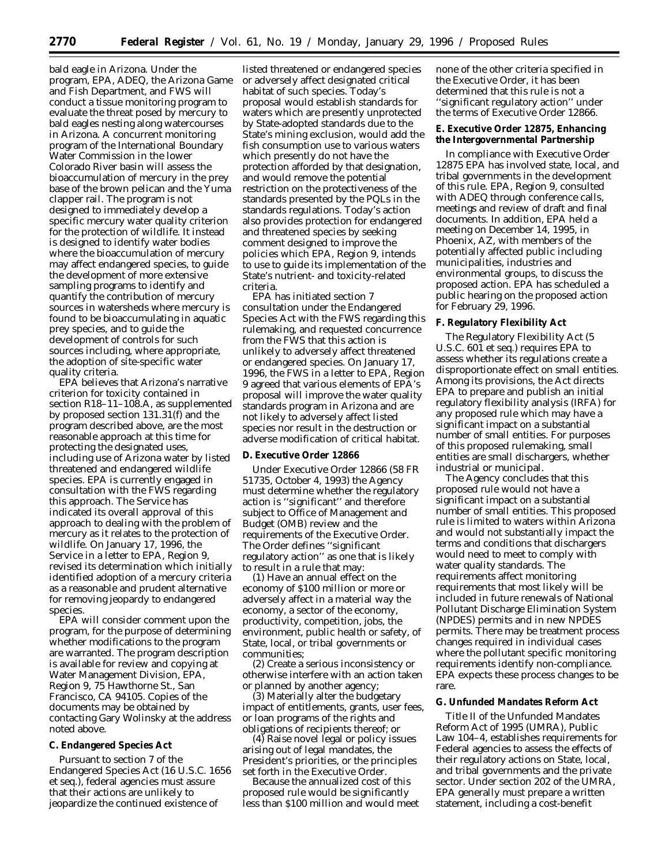bald eagle in Arizona. Under the program, EPA, ADEQ, the Arizona Game and Fish Department, and FWS will conduct a tissue monitoring program to evaluate the threat posed by mercury to bald eagles nesting along watercourses in Arizona. A concurrent monitoring program of the International Boundary Water Commission in the lower Colorado River basin will assess the bioaccumulation of mercury in the prey base of the brown pelican and the Yuma clapper rail. The program is not designed to immediately develop a specific mercury water quality criterion for the protection of wildlife. It instead is designed to identify water bodies where the bioaccumulation of mercury may affect endangered species, to guide the development of more extensive sampling programs to identify and quantify the contribution of mercury sources in watersheds where mercury is found to be bioaccumulating in aquatic prey species, and to guide the development of controls for such sources including, where appropriate, the adoption of site-specific water quality criteria.

EPA believes that Arizona's narrative criterion for toxicity contained in section R18–11–108.A, as supplemented by proposed section 131.31(f) and the program described above, are the most reasonable approach at this time for protecting the designated uses, including use of Arizona water by listed threatened and endangered wildlife species. EPA is currently engaged in consultation with the FWS regarding this approach. The Service has indicated its overall approval of this approach to dealing with the problem of mercury as it relates to the protection of wildlife. On January 17, 1996, the Service in a letter to EPA, Region 9, revised its determination which initially identified adoption of a mercury criteria as a reasonable and prudent alternative for removing jeopardy to endangered species.

EPA will consider comment upon the program, for the purpose of determining whether modifications to the program are warranted. The program description is available for review and copying at Water Management Division, EPA, Region 9, 75 Hawthorne St., San Francisco, CA 94105. Copies of the documents may be obtained by contacting Gary Wolinsky at the address noted above.

## **C. Endangered Species Act**

Pursuant to section 7 of the Endangered Species Act (16 U.S.C. 1656 et seq.), federal agencies must assure that their actions are unlikely to jeopardize the continued existence of

listed threatened or endangered species or adversely affect designated critical habitat of such species. Today's proposal would establish standards for waters which are presently unprotected by State-adopted standards due to the State's mining exclusion, would add the fish consumption use to various waters which presently do not have the protection afforded by that designation, and would remove the potential restriction on the protectiveness of the standards presented by the PQLs in the standards regulations. Today's action also provides protection for endangered and threatened species by seeking comment designed to improve the policies which EPA, Region 9, intends to use to guide its implementation of the State's nutrient- and toxicity-related criteria.

EPA has initiated section 7 consultation under the Endangered Species Act with the FWS regarding this rulemaking, and requested concurrence from the FWS that this action is unlikely to adversely affect threatened or endangered species. On January 17, 1996, the FWS in a letter to EPA, Region 9 agreed that various elements of EPA's proposal will improve the water quality standards program in Arizona and are not likely to adversely affect listed species nor result in the destruction or adverse modification of critical habitat.

### **D. Executive Order 12866**

Under Executive Order 12866 (58 FR 51735, October 4, 1993) the Agency must determine whether the regulatory action is ''significant'' and therefore subject to Office of Management and Budget (OMB) review and the requirements of the Executive Order. The Order defines ''significant regulatory action" as one that is likely to result in a rule that may:

(1) Have an annual effect on the economy of \$100 million or more or adversely affect in a material way the economy, a sector of the economy, productivity, competition, jobs, the environment, public health or safety, of State, local, or tribal governments or communities;

(2) Create a serious inconsistency or otherwise interfere with an action taken or planned by another agency;

(3) Materially alter the budgetary impact of entitlements, grants, user fees, or loan programs of the rights and obligations of recipients thereof; or

(4) Raise novel legal or policy issues arising out of legal mandates, the President's priorities, or the principles set forth in the Executive Order.

Because the annualized cost of this proposed rule would be significantly less than \$100 million and would meet none of the other criteria specified in the Executive Order, it has been determined that this rule is not a ''significant regulatory action'' under the terms of Executive Order 12866.

### **E. Executive Order 12875, Enhancing the Intergovernmental Partnership**

In compliance with Executive Order 12875 EPA has involved state, local, and tribal governments in the development of this rule. EPA, Region 9, consulted with ADEQ through conference calls, meetings and review of draft and final documents. In addition, EPA held a meeting on December 14, 1995, in Phoenix, AZ, with members of the potentially affected public including municipalities, industries and environmental groups, to discuss the proposed action. EPA has scheduled a public hearing on the proposed action for February 29, 1996.

### **F. Regulatory Flexibility Act**

The Regulatory Flexibility Act (5 U.S.C. 601 et seq.) requires EPA to assess whether its regulations create a disproportionate effect on small entities. Among its provisions, the Act directs EPA to prepare and publish an initial regulatory flexibility analysis (IRFA) for any proposed rule which may have a significant impact on a substantial number of small entities. For purposes of this proposed rulemaking, small entities are small dischargers, whether industrial or municipal.

The Agency concludes that this proposed rule would not have a significant impact on a substantial number of small entities. This proposed rule is limited to waters within Arizona and would not substantially impact the terms and conditions that dischargers would need to meet to comply with water quality standards. The requirements affect monitoring requirements that most likely will be included in future renewals of National Pollutant Discharge Elimination System (NPDES) permits and in new NPDES permits. There may be treatment process changes required in individual cases where the pollutant specific monitoring requirements identify non-compliance. EPA expects these process changes to be rare.

# **G. Unfunded Mandates Reform Act**

Title II of the Unfunded Mandates Reform Act of 1995 (UMRA), Public Law 104–4, establishes requirements for Federal agencies to assess the effects of their regulatory actions on State, local, and tribal governments and the private sector. Under section 202 of the UMRA, EPA generally must prepare a written statement, including a cost-benefit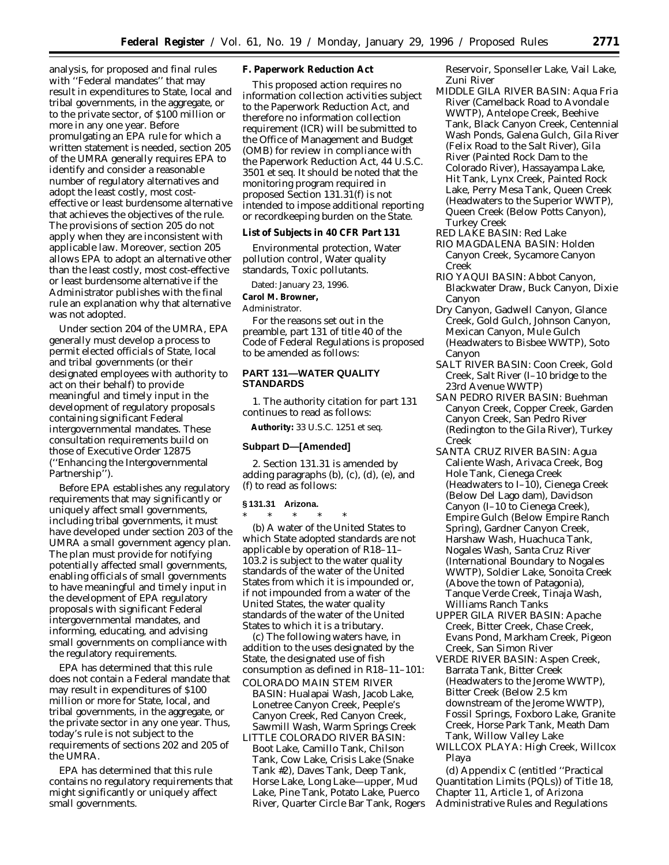analysis, for proposed and final rules with ''Federal mandates'' that may result in expenditures to State, local and tribal governments, in the aggregate, or to the private sector, of \$100 million or more in any one year. Before promulgating an EPA rule for which a written statement is needed, section 205 of the UMRA generally requires EPA to identify and consider a reasonable number of regulatory alternatives and adopt the least costly, most costeffective or least burdensome alternative that achieves the objectives of the rule. The provisions of section 205 do not apply when they are inconsistent with applicable law. Moreover, section 205 allows EPA to adopt an alternative other than the least costly, most cost-effective or least burdensome alternative if the Administrator publishes with the final rule an explanation why that alternative was not adopted.

Under section 204 of the UMRA, EPA generally must develop a process to permit elected officials of State, local and tribal governments (or their designated employees with authority to act on their behalf) to provide meaningful and timely input in the development of regulatory proposals containing significant Federal intergovernmental mandates. These consultation requirements build on those of Executive Order 12875 (''Enhancing the Intergovernmental Partnership'').

Before EPA establishes any regulatory requirements that may significantly or uniquely affect small governments, including tribal governments, it must have developed under section 203 of the UMRA a small government agency plan. The plan must provide for notifying potentially affected small governments, enabling officials of small governments to have meaningful and timely input in the development of EPA regulatory proposals with significant Federal intergovernmental mandates, and informing, educating, and advising small governments on compliance with the regulatory requirements.

EPA has determined that this rule does not contain a Federal mandate that may result in expenditures of \$100 million or more for State, local, and tribal governments, in the aggregate, or the private sector in any one year. Thus, today's rule is not subject to the requirements of sections 202 and 205 of the UMRA.

EPA has determined that this rule contains no regulatory requirements that might significantly or uniquely affect small governments.

**F. Paperwork Reduction Act**

This proposed action requires no information collection activities subject to the Paperwork Reduction Act, and therefore no information collection requirement (ICR) will be submitted to the Office of Management and Budget (OMB) for review in compliance with the Paperwork Reduction Act, 44 U.S.C. 3501 *et seq.* It should be noted that the monitoring program required in proposed Section 131.31(f) is not intended to impose additional reporting or recordkeeping burden on the State.

**List of Subjects in 40 CFR Part 131**

Environmental protection, Water pollution control, Water quality standards, Toxic pollutants.

Dated: January 23, 1996.

**Carol M. Browner,**

*Administrator.*

For the reasons set out in the preamble, part 131 of title 40 of the Code of Federal Regulations is proposed to be amended as follows:

# **PART 131—WATER QUALITY STANDARDS**

1. The authority citation for part 131 continues to read as follows:

**Authority:** 33 U.S.C. 1251 *et seq.*

#### **Subpart D—[Amended]**

2. Section 131.31 is amended by adding paragraphs (b), (c), (d), (e), and (f) to read as follows:

#### **§ 131.31 Arizona.**

\* \* \* \* \* (b) A water of the United States to which State adopted standards are not applicable by operation of R18–11– 103.2 is subject to the water quality standards of the water of the United States from which it is impounded or, if not impounded from a water of the United States, the water quality standards of the water of the United States to which it is a tributary.

(c) The following waters have, in addition to the uses designated by the State, the designated use of fish consumption as defined in R18–11–101: COLORADO MAIN STEM RIVER

- BASIN: Hualapai Wash, Jacob Lake, Lonetree Canyon Creek, Peeple's Canyon Creek, Red Canyon Creek, Sawmill Wash, Warm Springs Creek
- LITTLE COLORADO RIVER BASIN: Boot Lake, Camillo Tank, Chilson Tank, Cow Lake, Crisis Lake (Snake Tank #2), Daves Tank, Deep Tank, Horse Lake, Long Lake—upper, Mud Lake, Pine Tank, Potato Lake, Puerco River, Quarter Circle Bar Tank, Rogers

Reservoir, Sponseller Lake, Vail Lake, Zuni River

- MIDDLE GILA RIVER BASIN: Aqua Fria River (Camelback Road to Avondale WWTP), Antelope Creek, Beehive Tank, Black Canyon Creek, Centennial Wash Ponds, Galena Gulch, Gila River (Felix Road to the Salt River), Gila River (Painted Rock Dam to the Colorado River), Hassayampa Lake, Hit Tank, Lynx Creek, Painted Rock Lake, Perry Mesa Tank, Queen Creek (Headwaters to the Superior WWTP), Queen Creek (Below Potts Canyon), Turkey Creek
- RED LAKE BASIN: Red Lake
- RIO MAGDALENA BASIN: Holden Canyon Creek, Sycamore Canyon Creek
- RIO YAQUI BASIN: Abbot Canyon, Blackwater Draw, Buck Canyon, Dixie Canyon
- Dry Canyon, Gadwell Canyon, Glance Creek, Gold Gulch, Johnson Canyon, Mexican Canyon, Mule Gulch (Headwaters to Bisbee WWTP), Soto Canyon
- SALT RIVER BASIN: Coon Creek, Gold Creek, Salt River (I–10 bridge to the 23rd Avenue WWTP)
- SAN PEDRO RIVER BASIN: Buehman Canyon Creek, Copper Creek, Garden Canyon Creek, San Pedro River (Redington to the Gila River), Turkey Creek
- SANTA CRUZ RIVER BASIN: Agua Caliente Wash, Arivaca Creek, Bog Hole Tank, Cienega Creek (Headwaters to I–10), Cienega Creek (Below Del Lago dam), Davidson Canyon (I–10 to Cienega Creek), Empire Gulch (Below Empire Ranch Spring), Gardner Canyon Creek, Harshaw Wash, Huachuca Tank, Nogales Wash, Santa Cruz River (International Boundary to Nogales WWTP), Soldier Lake, Sonoita Creek (Above the town of Patagonia), Tanque Verde Creek, Tinaja Wash, Williams Ranch Tanks
- UPPER GILA RIVER BASIN: Apache Creek, Bitter Creek, Chase Creek, Evans Pond, Markham Creek, Pigeon Creek, San Simon River
- VERDE RIVER BASIN: Aspen Creek, Barrata Tank, Bitter Creek (Headwaters to the Jerome WWTP), Bitter Creek (Below 2.5 km downstream of the Jerome WWTP), Fossil Springs, Foxboro Lake, Granite Creek, Horse Park Tank, Meath Dam Tank, Willow Valley Lake
- WILLCOX PLAYA: High Creek, Willcox Playa

(d) Appendix C (entitled ''Practical Quantitation Limits (PQLs)) of Title 18, Chapter 11, Article 1, of Arizona Administrative Rules and Regulations